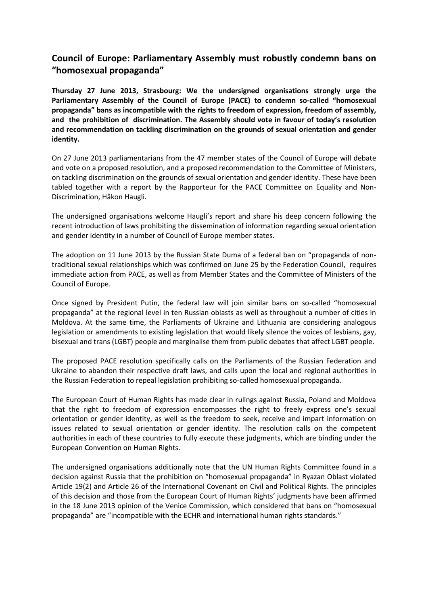## **Council of Europe: Parliamentary Assembly must robustly condemn bans on "homosexual propaganda"**

**Thursday 27 June 2013, Strasbourg: We the undersigned organisations strongly urge the Parliamentary Assembly of the Council of Europe (PACE) to condemn so-called "homosexual propaganda" bans as incompatible with the rights to freedom of expression, freedom of assembly, and the prohibition of discrimination. The Assembly should vote in favour of today's resolution and recommendation on tackling discrimination on the grounds of sexual orientation and gender identity.**

On 27 June 2013 parliamentarians from the 47 member states of the Council of Europe will debate and vote on a proposed resolution, and a proposed recommendation to the Committee of Ministers, on tackling discrimination on the grounds of sexual orientation and gender identity. These have been tabled together with a report by the Rapporteur for the PACE Committee on Equality and Non-Discrimination, Håkon Haugli.

The undersigned organisations welcome Haugli's report and share his deep concern following the recent introduction of laws prohibiting the dissemination of information regarding sexual orientation and gender identity in a number of Council of Europe member states.

The adoption on 11 June 2013 by the Russian State Duma of a federal ban on "propaganda of nontraditional sexual relationships which was confirmed on June 25 by the Federation Council, requires immediate action from PACE, as well as from Member States and the Committee of Ministers of the Council of Europe.

Once signed by President Putin, the federal law will join similar bans on so-called "homosexual propaganda" at the regional level in ten Russian oblasts as well as throughout a number of cities in Moldova. At the same time, the Parliaments of Ukraine and Lithuania are considering analogous legislation or amendments to existing legislation that would likely silence the voices of lesbians, gay, bisexual and trans (LGBT) people and marginalise them from public debates that affect LGBT people.

The proposed PACE resolution specifically calls on the Parliaments of the Russian Federation and Ukraine to abandon their respective draft laws, and calls upon the local and regional authorities in the Russian Federation to repeal legislation prohibiting so-called homosexual propaganda.

The European Court of Human Rights has made clear in rulings against Russia, Poland and Moldova that the right to freedom of expression encompasses the right to freely express one's sexual orientation or gender identity, as well as the freedom to seek, receive and impart information on issues related to sexual orientation or gender identity. The resolution calls on the competent authorities in each of these countries to fully execute these judgments, which are binding under the European Convention on Human Rights.

The undersigned organisations additionally note that the UN Human Rights Committee found in a decision against Russia that the prohibition on "homosexual propaganda" in Ryazan Oblast violated Article 19(2) and Article 26 of the International Covenant on Civil and Political Rights. The principles of this decision and those from the European Court of Human Rights' judgments have been affirmed in the 18 June 2013 opinion of the Venice Commission, which considered that bans on "homosexual propaganda" are "incompatible with the ECHR and international human rights standards."